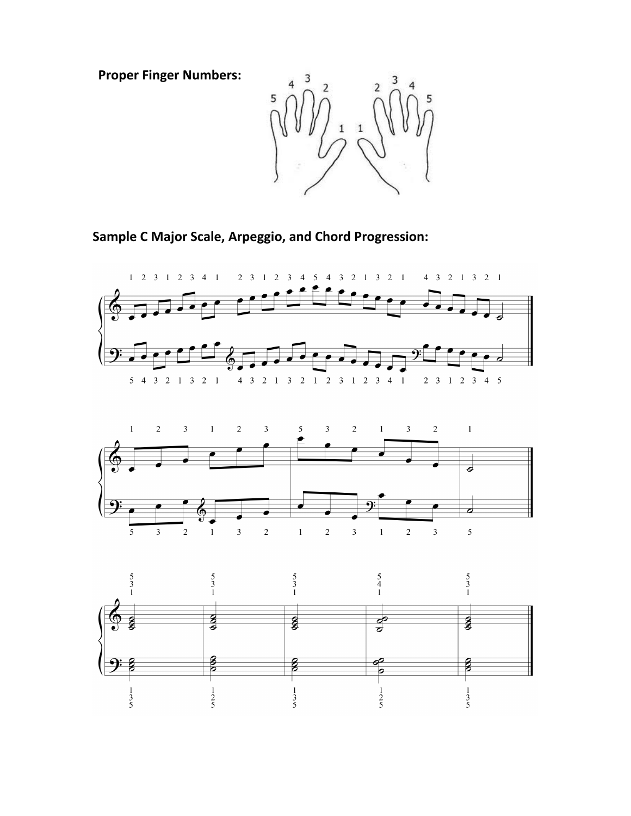**Proper Finger Numbers:** 



**Sample C Major Scale, Arpeggio, and Chord Progression:**